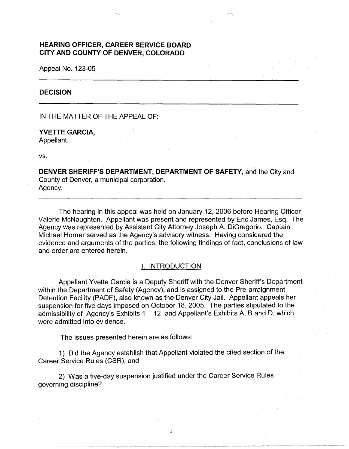# **HEARING OFFICER, CAREER SERVICE BOARD CITY AND COUNTY OF DENVER, COLORADO**

Appeal No. 123-05

## **DECISION**

IN THE MATTER OF THE APPEAL OF:

## **YVETTE GARCIA,**  Appellant,

vs.

**DENVER SHERIFF'S DEPARTMENT, DEPARTMENT OF SAFETY,** and the City and County of Denver, a municipal corporation, Agency.

The hearing in this appeal was held on January 12, 2006 before Hearing Officer Valerie McNaughton. Appellant was present and represented by Eric James, Esq. The Agency was represented by Assistant City Attorney Joseph A. DiGregorio. Captain Michael Horner served as the Agency's advisory witness. Having considered the evidence and arguments of the parties, the following findings of fact, conclusions of law and order are entered herein.

## I. INTRODUCTION

Appellant Yvette Garcia is a Deputy Sheriff with the Denver Sheriff's Department within the Department of Safety (Agency), and is assigned to the Pre-arraignment Detention Facility (PADF), also known as the Denver City Jail. Appellant appeals her suspension for five days imposed on October 18, 2005. The parties stipulated to the admissibility of Agency's Exhibits  $1 - 12$  and Appellant's Exhibits A, B and D, which were admitted into evidence.

The issues presented herein are as follows:

1) Did the Agency establish that Appellant violated the cited section of the Career Service Rules (CSR), and

1

2) Was a five-day suspension justified under the Career Service Rules governing discipline?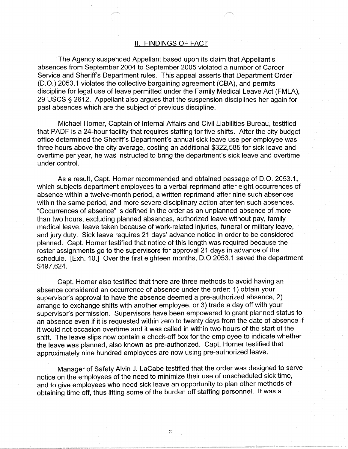## II. FINDINGS OF FACT

The Agency suspended Appellant based upon its claim that Appellant's absences from September 2004 to September 2005 violated a number of Career Service and Sheriff's Department rules. This appeal asserts that Department Order (D.O.) 2053.1 violates the collective bargaining agreement (CBA), and permits discipline for legal use of leave permitted under the Family Medical Leave Act (FMLA), 29 USCS § 2612. Appellant also argues that the suspension disciplines her again for past absences which are the subject of previous discipline.

Michael Horner, Captain of Internal Affairs and Civil Liabilities Bureau, testified that PADF is a 24-hour facility that requires staffing for five shifts. After the city budget office determined the Sheriff's Department's annual sick leave use per employee was three hours above the city average, costing an additional \$322,585 for sick leave and overtime per year, he was instructed to bring the department's sick leave and overtime under control.

As a result, Capt. Horner recommended and obtained passage of D.O. 2053.1, which subjects department employees to a verbal reprimand after eight occurrences of absence within a twelve-month period, a written reprimand after nine such absences within the same period, and more severe disciplinary action after ten such absences. "Occurrences of absence" is defined in the order as an unplanned absence of more than two hours, excluding planned absences, authorized leave without pay, family medical leave, leave taken because of work-related injuries, funeral or military leave, and jury duty. Sick leave requires 21 days' advance notice in order to be considered planned. Capt. Horner testified that notice of this length was required because the roster assignments go to the supervisors for approval 21 days in advance of the schedule. [Exh. 10.] Over the first eighteen months, D.O 2053.1 saved the department \$497,624.

Capt. Horner also testified that there are three methods to avoid having an absence considered an occurrence of absence under the order: 1) obtain your supervisor's approval to have the absence deemed a pre-authorized absence, 2) arrange to exchange shifts with another employee, or 3) trade a day off with your supervisor's permission. Supervisors have been empowered to grant planned status to an absence even if it is requested within zero to twenty days from the date of absence if it would not occasion overtime and it was called in within two hours of the start of the shift. The leave slips now contain a check-off box for the employee to indicate whether the leave was planned, also known as pre-authorized. Capt. Horner testified that approximately nine hundred employees are now using pre-authorized leave.

Manager of Safety Alvin J. LaCabe testified that the order was designed to serve notice on the employees of the need to minimize their use of unscheduled sick time, and to give employees who need sick leave an opportunity to plan other methods of obtaining time off, thus lifting some of the burden off staffing personnel. It was a

2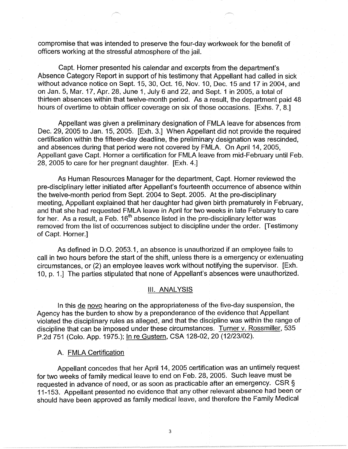compromise that was intended to preserve the four-day workweek for the benefit of officers working at the stressful atmosphere of the jail.

Capt. Horner presented his calendar and excerpts from the department's Absence Category Report in support of his testimony that Appellant had called in sick without advance notice on Sept. 15, 30, Oct. 16, Nov. 10, Dec. 15 and 17 in 2004, and on Jan. 5, Mar. 17, Apr. 28, June 1, July 6 and 22, and Sept. 1 in 2005, a total of thirteen absences within that twelve-month period. As a result, the department paid 48 hours of overtime to obtain officer coverage on six of those occasions. [Exhs. 7, 8.]

Appellant was given a preliminary designation of FMLA leave for absences from Dec. 29, 2005 to Jan. 15, 2005. [Exh. 3.] When Appellant did not provide the required certification within the fifteen-day deadline, the preliminary designation was rescinded, and absences during that period were not covered by FMLA. On April 14, 2005, Appellant gave Capt. Horner a certification for FMLA leave from mid-February until Feb. 28, 2005 to care for her pregnant daughter. [Exh. 4.]

As Human Resources Manager for the department, Capt. Horner reviewed the pre-disciplinary letter initiated after Appellant's fourteenth occurrence of absence within the twelve-month period from Sept. 2004 to Sept. 2005. At the pre-disciplinary meeting, Appellant explained that her daughter had given birth prematurely in February, and that she had requested FMLA leave in April for two weeks in late February to care for her. As a result, a Feb.  $16<sup>th</sup>$  absence listed in the pre-disciplinary letter was removed from the list of occurrences subject to discipline under the order. [Testimony of Capt. Horner.]

As defined in D.O. 2053.1, an absence is unauthorized if an employee fails to call in two hours before the start of the shift, unless there is a emergency or extenuating circumstances, or (2) an employee leaves work without notifying the supervisor. [Exh. 10, p. 1.] The parties stipulated that none of Appellant's absences were unauthorized.

#### Ill. ANALYSIS

In this de novo hearing on the appropriateness of the five-day suspension, the Agency has the burden to show by a preponderance of the evidence that Appellant violated the disciplinary rules as alleged, and that the discipline was within the range of discipline that can be imposed under these circumstances. Turner v. Rossmiller, 535 P.2d 751 (Colo. App. 1975.); In re Gustern, CSA 128-02, 20 (12/23/02).

## A. FMLA Certification

Appellant concedes that her April 14, 2005 certification was an untimely request for two weeks of family medical leave to end on Feb. 28, 2005. Such leave must be requested in advance of need, or as soon as practicable after an emergency. CSR§ 11-153. Appellant presented no evidence that any other relevant absence had been or should have been approved as family medical leave, and therefore the Family Medical

3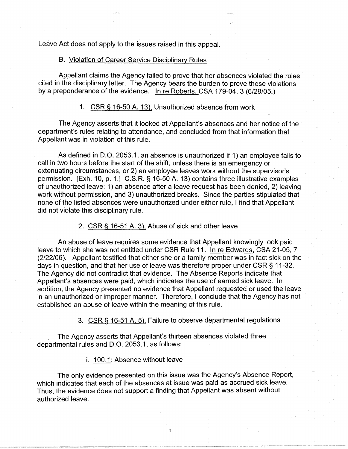Leave Act does not apply to the issues raised in this appeal.

### B. Violation of Career Service Disciplinary Rules

Appellant claims the Agency failed to prove that her absences violated the rules cited in the disciplinary letter. The Agency bears the burden to prove these violations by a preponderance of the evidence. In re Roberts, CSA 179-04, 3 (6/29/05.)

#### 1. CSR§ 16-50 A. 13), Unauthorized absence from work

The Agency asserts that it looked at Appellant's absences and her notice of the department's rules relating to attendance, and concluded from that information that Appellant was in violation of this rule.

As defined in D.O. 2053.1, an absence is unauthorized if 1) an employee fails to call in two hours before the start of the shift, unless there is an emergency or extenuating circumstances, or 2) an employee leaves work without the supervisor's permission. [Exh. 10, p. 1.] C.S.R. § 16-50 A. 13) contains three illustrative examples of unauthorized leave: 1) an absence after a leave request has been denied, 2) leaving work without permission, and 3) unauthorized breaks. Since the parties stipulated that none of the listed absences were unauthorized under either rule, I find that Appellant did not violate this disciplinary rule.

## 2. CSR§ 16-51 A. 3), Abuse of sick and other leave

An abuse of leave requires some evidence that Appellant knowingly took paid leave to which she was not entitled under CSR Rule 11. In re Edwards, CSA 21-05, 7 (2/22/06). Appellant testified that either she or a family member was in fact sick on the days in question, and that her use of leave was therefore proper under CSR§ 11-32. The Agency did not contradict that evidence. The Absence Reports indicate that Appellant's absences were paid, which indicates the use of earned sick leave. In addition, the Agency presented no evidence that Appellant requested or used the leave in an unauthorized or improper manner. Therefore, I conclude that the Agency has not established an abuse of leave within the meaning of this rule.

### 3. CSR § 16-51 A. 5), Failure to observe departmental regulations

The Agency asserts that Appellant's thirteen absences violated three departmental rules and D.O. 2053.1, as follows:

i. 100.1: Absence without leave

The only evidence presented on this issue was the Agency's Absence Report, which indicates that each of the absences at issue was paid as accrued sick leave. Thus, the evidence does not support a finding that Appellant was absent without authorized leave.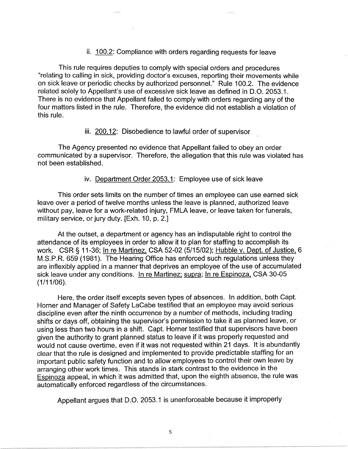## ii. 100.2: Compliance with orders regarding requests for leave

This rule requires deputies to comply with special orders and procedures "relating to calling in sick, providing doctor's excuses, reporting their movements while on sick leave or periodic checks by authorized personnel." Rule 100.2. The evidence related solely to Appellant's use of excessive sick leave as defined in D.O. 2053.1. There is no evidence that Appellant failed to comply with orders regarding any of the four matters listed in the rule. Therefore, the evidence did not establish a violation of this rule.

iii. 200.12: Disobedience to lawful order of supervisor

The Agency presented no evidence that Appellant failed to obey an order communicated by a supervisor. Therefore, the allegation that this rule was violated has not been established.

#### iv. Department Order 2053.1: Employee use of sick leave

This order sets limits on the number of times an employee can use earned sick leave over a period of twelve months unless the leave is planned, authorized leave without pay, leave for a work-related injury, FMLA leave, or leave taken for funerals, military service, or jury duty. [Exh. 10, p. 2.]

At the outset, a department or agency has an indisputable right to control the attendance of its employees in order to allow it to plan for staffing to accomplish its work. CSR § 11-36; In re Martinez, CSA 52-02 (5/15/02); Hubble v. Dept. of Justice, 6 M.S.P.R. 659 (1981). The Hearing Office has enforced such regulations unless they are inflexibly applied in a manner that deprives an employee of the use of accumulated sick leave under any conditions. In re Martinez; supra; In re Espinoza. CSA 30-05 (1/11/06).

Here, the order itself excepts seven types of absences. In addition, both Capt. Horner and Manager of Safety LaCabe testified that an employee may avoid serious discipline even after the ninth occurrence by a number of methods, including trading shifts or days off, obtaining the supervisor's permission to take it as planned leave, or using less than two hours in a shift. Capt. Horner testified that supervisors have been given the authority to grant planned status to leave if it was properly requested and would not cause overtime, even if it was not requested within 21 days. It is abundantly clear that the rule is designed and implemented to provide predictable staffing for an important public safety function and to allow employees to control their own leave by arranging other work times. This stands in stark contrast to the evidence in the Espinoza appeal, in which it was admitted that, upon the eighth absence, the rule was automatically enforced regardless of the circumstances.

Appellant argues that D.O. 2053.1 is unenforceable because it improperly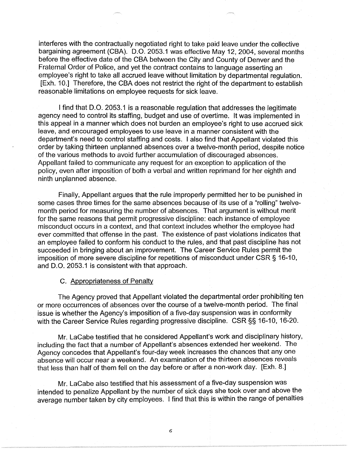interferes with the contractually negotiated right to take paid leave under the collective bargaining agreement (CBA). D.O. 2053.1 was effective May 12, 2004, several months before the effective date of the CBA between the City and County of Denver and the Fraternal Order of Police, and yet the contract contains to language asserting an employee's right to take all accrued leave without limitation by departmental regulation. [Exh. 10.] Therefore, the CBA does not restrict the right of the department to establish reasonable limitations on employee requests for sick leave.

I find that D.O. 2053.1 is a reasonable regulation that addresses the legitimate agency need to control its staffing, budget and use of overtime. It was implemented in this appeal in a manner which does not burden an employee's right to use accrued sick leave, and encouraged employees to use leave in a manner consistent with the department's need to control staffing and costs. I also find that Appellant violated this order by taking thirteen unplanned absences over a twelve-month period, despite notice of the various methods to avoid further accumulation of discouraged absences. Appellant failed to communicate any request for an exception to application of the policy, even after imposition of both a verbal and written reprimand for her eighth and ninth unplanned absence.

Finally, Appellant argues that the rule improperly permitted her to be punished in some cases three times for the same absences because of its use of a "rolling" twelvemonth period for measuring the number of absences. That argument is without merit for the same reasons that permit progressive discipline: each instance of employee misconduct occurs in a context, and that context includes whether the employee had ever committed that offense in the past. The existence of past violations indicates that an employee failed to conform his conduct to the rules, and that past discipline has not succeeded in bringing about an improvement. The Career Service Rules permit the imposition of more severe discipline for repetitions of misconduct under CSR§ 16-10, and 0.0. 2053.1 is consistent with that approach.

#### C. Appropriateness of Penalty

The Agency proved that Appellant violated the departmental order prohibiting ten or more occurrences of absences over the course of a twelve-month period. The final issue is whether the Agency's imposition of a five-day suspension was in conformity with the Career Service Rules regarding progressive discipline. CSR§§ 16-10, 16-20.

Mr. LaCabe testified that he considered Appellant's work and disciplinary history, including the fact that a number of Appellant's absences extended her weekend. The Agency concedes that Appellant's four-day week increases the chances that any one absence will occur near a weekend. An examination of the thirteen absences reveals that less than half of them fell on the day before or after a non-work day. [Exh. 8.]

Mr. LaCabe also testified that his assessment of a five-day suspension was intended to penalize Appellant by the number of sick days she took over and above the average number taken by city employees. I find that this is within the range of penalties

6